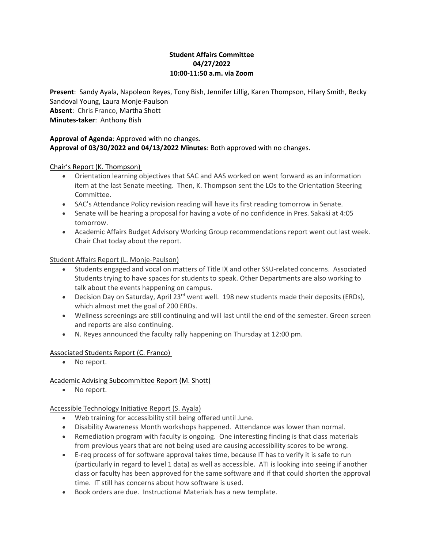## **Student Affairs Committee 04/27/2022 10:00-11:50 a.m. via Zoom**

**Present**: Sandy Ayala, Napoleon Reyes, Tony Bish, Jennifer Lillig, Karen Thompson, Hilary Smith, Becky Sandoval Young, Laura Monje-Paulson **Absent**: Chris Franco, Martha Shott **Minutes-taker**: Anthony Bish

## **Approval of Agenda**: Approved with no changes. **Approval of 03/30/2022 and 04/13/2022 Minutes**: Both approved with no changes.

## Chair's Report (K. Thompson)

- Orientation learning objectives that SAC and AAS worked on went forward as an information item at the last Senate meeting. Then, K. Thompson sent the LOs to the Orientation Steering Committee.
- SAC's Attendance Policy revision reading will have its first reading tomorrow in Senate.
- Senate will be hearing a proposal for having a vote of no confidence in Pres. Sakaki at 4:05 tomorrow.
- Academic Affairs Budget Advisory Working Group recommendations report went out last week. Chair Chat today about the report.

## Student Affairs Report (L. Monje-Paulson)

- Students engaged and vocal on matters of Title IX and other SSU-related concerns. Associated Students trying to have spaces for students to speak. Other Departments are also working to talk about the events happening on campus.
- Decision Day on Saturday, April 23<sup>rd</sup> went well. 198 new students made their deposits (ERDs), which almost met the goal of 200 ERDs.
- Wellness screenings are still continuing and will last until the end of the semester. Green screen and reports are also continuing.
- N. Reyes announced the faculty rally happening on Thursday at 12:00 pm.

# Associated Students Report (C. Franco)

• No report.

# Academic Advising Subcommittee Report (M. Shott)

• No report.

# Accessible Technology Initiative Report (S. Ayala)

- Web training for accessibility still being offered until June.
- Disability Awareness Month workshops happened. Attendance was lower than normal.
- Remediation program with faculty is ongoing. One interesting finding is that class materials from previous years that are not being used are causing accessibility scores to be wrong.
- E-req process of for software approval takes time, because IT has to verify it is safe to run (particularly in regard to level 1 data) as well as accessible. ATI is looking into seeing if another class or faculty has been approved for the same software and if that could shorten the approval time. IT still has concerns about how software is used.
- Book orders are due. Instructional Materials has a new template.